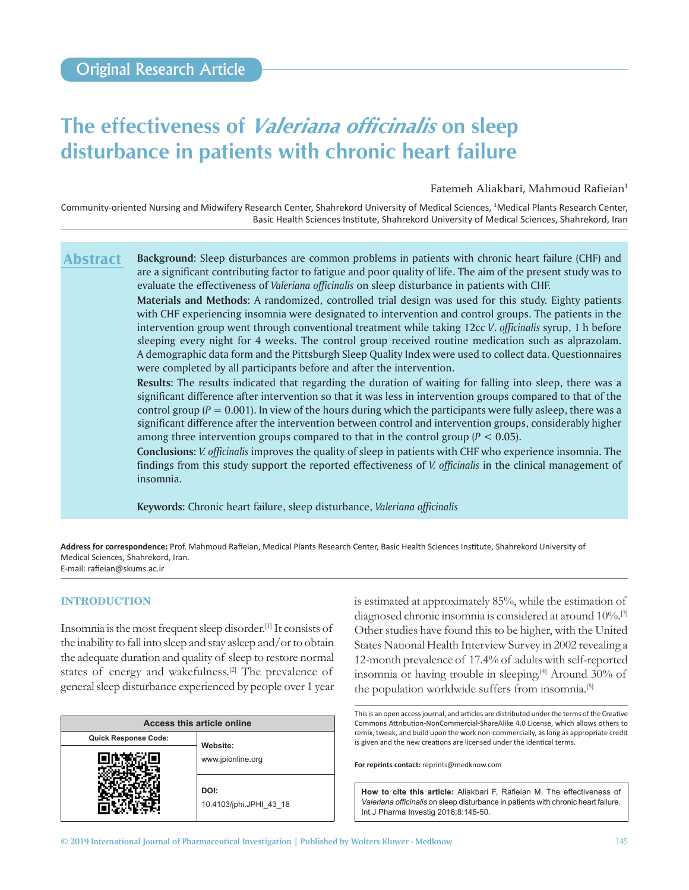# **The effectiveness of** *Valeriana officinalis* **on sleep disturbance in patients with chronic heart failure**

Fatemeh Aliakbari, Mahmoud Rafieian<sup>1</sup>

Community-oriented Nursing and Midwifery Research Center, Shahrekord University of Medical Sciences, <sup>1</sup>Medical Plants Research Center, Basic Health Sciences Institute, Shahrekord University of Medical Sciences, Shahrekord, Iran

**Background:** Sleep disturbances are common problems in patients with chronic heart failure (CHF) and are a significant contributing factor to fatigue and poor quality of life. The aim of the present study was to evaluate the effectiveness of *Valeriana officinalis* on sleep disturbance in patients with CHF. **Abstract**

> **Materials and Methods:** A randomized, controlled trial design was used for this study. Eighty patients with CHF experiencing insomnia were designated to intervention and control groups. The patients in the intervention group went through conventional treatment while taking 12cc *V*. *officinalis* syrup, 1 h before sleeping every night for 4 weeks. The control group received routine medication such as alprazolam. A demographic data form and the Pittsburgh Sleep Quality Index were used to collect data. Questionnaires were completed by all participants before and after the intervention.

> **Results:** The results indicated that regarding the duration of waiting for falling into sleep, there was a significant difference after intervention so that it was less in intervention groups compared to that of the control group ( $P = 0.001$ ). In view of the hours during which the participants were fully asleep, there was a significant difference after the intervention between control and intervention groups, considerably higher among three intervention groups compared to that in the control group (*P* < 0.05).

> **Conclusions:** *V. officinalis* improves the quality of sleep in patients with CHF who experience insomnia. The findings from this study support the reported effectiveness of *V. officinalis* in the clinical management of insomnia.

**Keywords:** Chronic heart failure, sleep disturbance, *Valeriana officinalis*

**Address for correspondence:** Prof. Mahmoud Rafieian, Medical Plants Research Center, Basic Health Sciences Institute, Shahrekord University of Medical Sciences, Shahrekord, Iran. E‑mail: rafieian@skums.ac.ir

## **INTRODUCTION**

Insomnia is the most frequent sleep disorder.[1] It consists of the inability to fall into sleep and stay asleep and/or to obtain the adequate duration and quality of sleep to restore normal states of energy and wakefulness.<sup>[2]</sup> The prevalence of general sleep disturbance experienced by people over 1 year

| <b>Access this article online</b> |                                 |
|-----------------------------------|---------------------------------|
| <b>Quick Response Code:</b>       | Website:                        |
|                                   | www.jpionline.org               |
|                                   | DOI:<br>10.4103/jphi.JPHI 43 18 |

is estimated at approximately 85%, while the estimation of diagnosed chronic insomnia is considered at around 10%.[3] Other studies have found this to be higher, with the United States National Health Interview Survey in 2002 revealing a 12-month prevalence of 17.4% of adults with self-reported insomnia or having trouble in sleeping.[4] Around 30% of the population worldwide suffers from insomnia.[5]

This is an open access journal, and articles are distributed under the terms of the Creative Commons Attribution‑NonCommercial‑ShareAlike 4.0 License, which allows others to remix, tweak, and build upon the work non‑commercially, as long as appropriate credit is given and the new creations are licensed under the identical terms.

**For reprints contact:** reprints@medknow.com

**How to cite this article:** Aliakbari F, Rafieian M. The effectiveness of *Valeriana officinalis* on sleep disturbance in patients with chronic heart failure. Int J Pharma Investig 2018;8:145-50.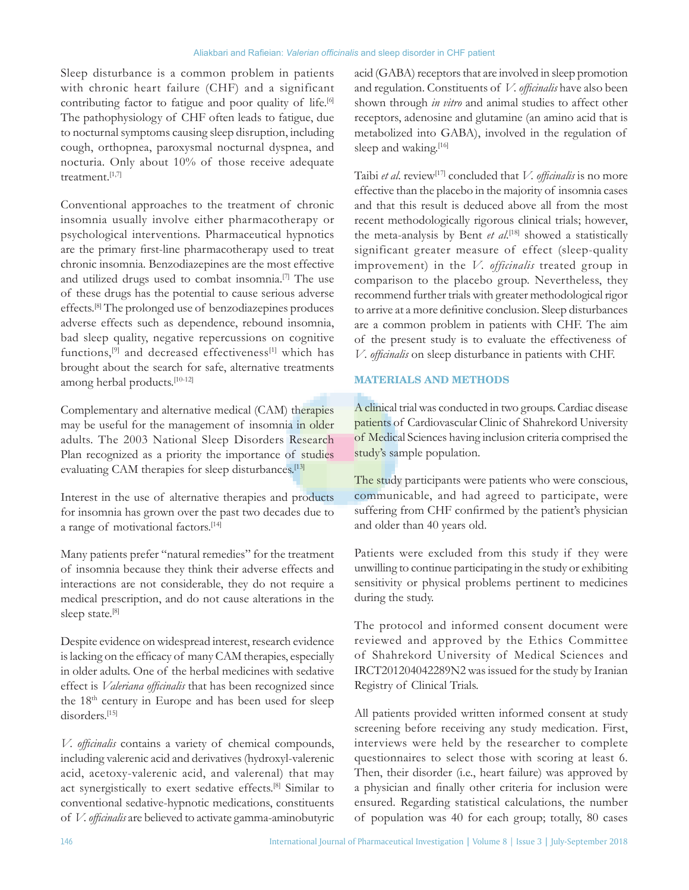Sleep disturbance is a common problem in patients with chronic heart failure (CHF) and a significant contributing factor to fatigue and poor quality of life.<sup>[6]</sup> The pathophysiology of CHF often leads to fatigue, due to nocturnal symptoms causing sleep disruption, including cough, orthopnea, paroxysmal nocturnal dyspnea, and nocturia. Only about 10% of those receive adequate treatment.[1,7]

Conventional approaches to the treatment of chronic insomnia usually involve either pharmacotherapy or psychological interventions. Pharmaceutical hypnotics are the primary first-line pharmacotherapy used to treat chronic insomnia. Benzodiazepines are the most effective and utilized drugs used to combat insomnia.[7] The use of these drugs has the potential to cause serious adverse effects.[8] The prolonged use of benzodiazepines produces adverse effects such as dependence, rebound insomnia, bad sleep quality, negative repercussions on cognitive functions,<sup>[9]</sup> and decreased effectiveness<sup>[1]</sup> which has brought about the search for safe, alternative treatments among herbal products.[10-12]

Complementary and alternative medical (CAM) therapies may be useful for the management of insomnia in older adults. The 2003 National Sleep Disorders Research Plan recognized as a priority the importance of studies evaluating CAM therapies for sleep disturbances.<sup>[13]</sup>

Interest in the use of alternative therapies and products for insomnia has grown over the past two decades due to a range of motivational factors.<sup>[14]</sup>

Many patients prefer "natural remedies" for the treatment of insomnia because they think their adverse effects and interactions are not considerable, they do not require a medical prescription, and do not cause alterations in the sleep state.<sup>[8]</sup>

Despite evidence on widespread interest, research evidence is lacking on the efficacy of many CAM therapies, especially in older adults. One of the herbal medicines with sedative effect is *Valeriana officinalis* that has been recognized since the 18<sup>th</sup> century in Europe and has been used for sleep disorders.[15]

*V. officinalis* contains a variety of chemical compounds, including valerenic acid and derivatives(hydroxyl-valerenic acid, acetoxy-valerenic acid, and valerenal) that may act synergistically to exert sedative effects.[8] Similar to conventional sedative-hypnotic medications, constituents of *V.officinalis* are believed to activate gamma-aminobutyric

acid (GABA) receptors that are involved in sleep promotion and regulation. Constituents of *V. officinalis* have also been shown through *in vitro* and animal studies to affect other receptors, adenosine and glutamine (an amino acid that is metabolized into GABA), involved in the regulation of sleep and waking.[16]

Taibi *et al*. review[17] concluded that *V. officinalis* is no more effective than the placebo in the majority of insomnia cases and that this result is deduced above all from the most recent methodologically rigorous clinical trials; however, the meta-analysis by Bent *et al*. [18] showed a statistically significant greater measure of effect (sleep-quality improvement) in the *V. officinalis* treated group in comparison to the placebo group. Nevertheless, they recommend further trials with greater methodological rigor to arrive at a more definitive conclusion. Sleep disturbances are a common problem in patients with CHF. The aim of the present study is to evaluate the effectiveness of *V*. *officinalis* on sleep disturbance in patients with CHF.

## **MATERIALS AND METHODS**

A clinical trial was conducted in two groups. Cardiac disease patients of Cardiovascular Clinic of Shahrekord University of Medical Sciences having inclusion criteria comprised the study's sample population.

The study participants were patients who were conscious, communicable, and had agreed to participate, were suffering from CHF confirmed by the patient's physician and older than 40 years old.

Patients were excluded from this study if they were unwilling to continue participating in the study or exhibiting sensitivity or physical problems pertinent to medicines during the study.

The protocol and informed consent document were reviewed and approved by the Ethics Committee of Shahrekord University of Medical Sciences and IRCT201204042289N2 was issued for the study by Iranian Registry of Clinical Trials.

All patients provided written informed consent at study screening before receiving any study medication. First, interviews were held by the researcher to complete questionnaires to select those with scoring at least 6. Then, their disorder (i.e., heart failure) was approved by a physician and finally other criteria for inclusion were ensured. Regarding statistical calculations, the number of population was 40 for each group; totally, 80 cases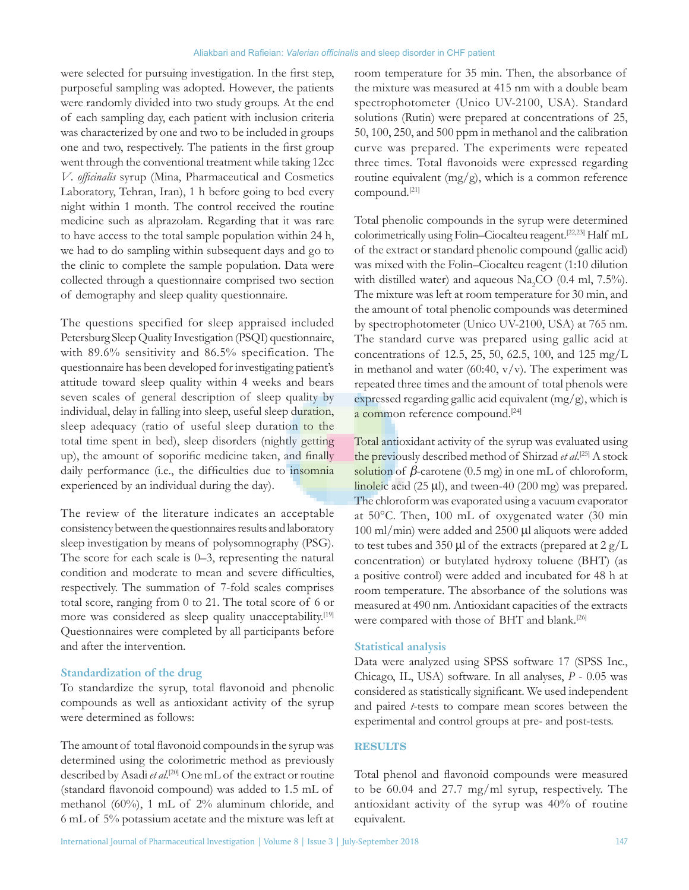were selected for pursuing investigation. In the first step, purposeful sampling was adopted. However, the patients were randomly divided into two study groups. At the end of each sampling day, each patient with inclusion criteria was characterized by one and two to be included in groups one and two, respectively. The patients in the first group went through the conventional treatment while taking 12cc *V*. *officinalis* syrup (Mina, Pharmaceutical and Cosmetics Laboratory, Tehran, Iran), 1 h before going to bed every night within 1 month. The control received the routine medicine such as alprazolam. Regarding that it was rare to have access to the total sample population within 24 h, we had to do sampling within subsequent days and go to the clinic to complete the sample population. Data were collected through a questionnaire comprised two section of demography and sleep quality questionnaire.

The questions specified for sleep appraised included Petersburg Sleep Quality Investigation (PSQI) questionnaire, with 89.6% sensitivity and 86.5% specification. The questionnaire has been developed for investigating patient's attitude toward sleep quality within 4 weeks and bears seven scales of general description of sleep quality by individual, delay in falling into sleep, useful sleep duration, sleep adequacy (ratio of useful sleep duration to the total time spent in bed), sleep disorders (nightly getting up), the amount of soporific medicine taken, and finally daily performance (i.e., the difficulties due to insomnia experienced by an individual during the day).

The review of the literature indicates an acceptable consistency between the questionnaires results and laboratory sleep investigation by means of polysomnography (PSG). The score for each scale is 0–3, representing the natural condition and moderate to mean and severe difficulties, respectively. The summation of 7-fold scales comprises total score, ranging from 0 to 21. The total score of 6 or more was considered as sleep quality unacceptability.<sup>[19]</sup> Questionnaires were completed by all participants before and after the intervention.

#### **Standardization of the drug**

To standardize the syrup, total flavonoid and phenolic compounds as well as antioxidant activity of the syrup were determined as follows:

The amount of total flavonoid compounds in the syrup was determined using the colorimetric method as previously described by Asadi *et al*. [20] One mL of the extract or routine (standard flavonoid compound) was added to 1.5 mL of methanol (60%), 1 mL of 2% aluminum chloride, and 6 mL of 5% potassium acetate and the mixture was left at

room temperature for 35 min. Then, the absorbance of the mixture was measured at 415 nm with a double beam spectrophotometer (Unico UV-2100, USA). Standard solutions (Rutin) were prepared at concentrations of 25, 50, 100, 250, and 500 ppm in methanol and the calibration curve was prepared. The experiments were repeated three times. Total flavonoids were expressed regarding routine equivalent  $(mg/g)$ , which is a common reference compound.[21]

Total phenolic compounds in the syrup were determined colorimetrically using Folin–Ciocalteu reagent.[22,23] Half mL of the extract or standard phenolic compound (gallic acid) was mixed with the Folin–Ciocalteu reagent (1:10 dilution with distilled water) and aqueous  $\text{Na}_2\text{CO}$  (0.4 ml, 7.5%). The mixture was left at room temperature for 30 min, and the amount of total phenolic compounds was determined by spectrophotometer (Unico UV-2100, USA) at 765 nm. The standard curve was prepared using gallic acid at concentrations of 12.5, 25, 50, 62.5, 100, and 125 mg/L in methanol and water (60:40,  $v/v$ ). The experiment was repeated three times and the amount of total phenols were expressed regarding gallic acid equivalent (mg/g), which is a common reference compound.[24]

Total antioxidant activity of the syrup was evaluated using the previously described method of Shirzad *et al*. [25] A stock solution of  $\beta$ -carotene (0.5 mg) in one mL of chloroform, linoleic acid (25 µl), and tween-40 (200 mg) was prepared. The chloroform was evaporated using a vacuum evaporator at 50°C. Then, 100 mL of oxygenated water (30 min 100 ml/min) were added and 2500 µl aliquots were added to test tubes and 350  $\mu$ l of the extracts (prepared at 2 g/L concentration) or butylated hydroxy toluene (BHT) (as a positive control) were added and incubated for 48 h at room temperature. The absorbance of the solutions was measured at 490 nm. Antioxidant capacities of the extracts were compared with those of BHT and blank.<sup>[26]</sup>

#### **Statistical analysis**

Data were analyzed using SPSS software 17 (SPSS Inc., Chicago, IL, USA) software. In all analyses, *P* - 0.05 was considered as statistically significant. We used independent and paired *t*-tests to compare mean scores between the experimental and control groups at pre- and post-tests.

## **RESULTS**

Total phenol and flavonoid compounds were measured to be 60.04 and 27.7 mg/ml syrup, respectively. The antioxidant activity of the syrup was 40% of routine equivalent.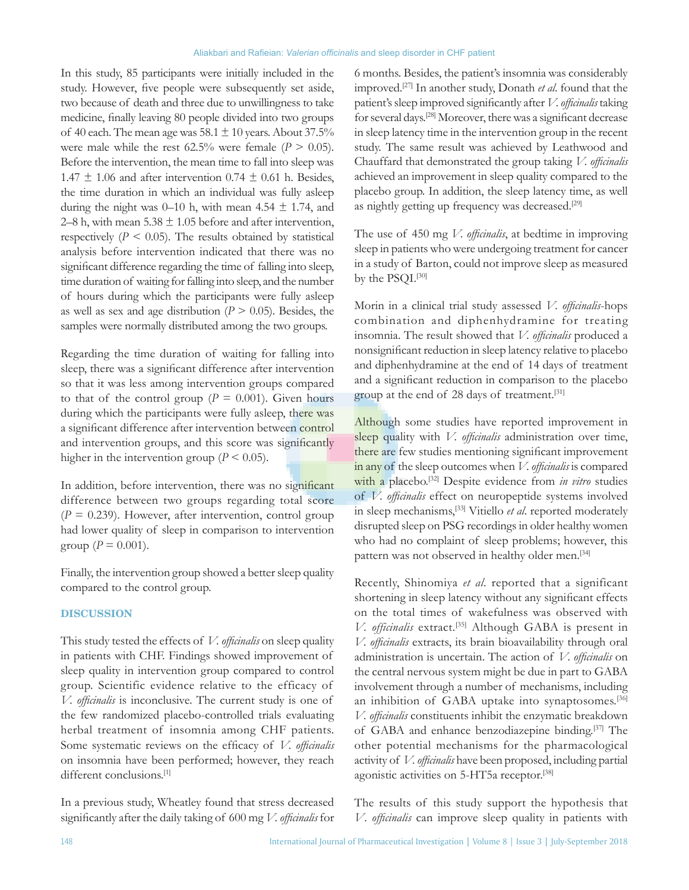In this study, 85 participants were initially included in the study. However, five people were subsequently set aside, two because of death and three due to unwillingness to take medicine, finally leaving 80 people divided into two groups of 40 each. The mean age was  $58.1 \pm 10$  years. About  $37.5\%$ were male while the rest  $62.5\%$  were female ( $P > 0.05$ ). Before the intervention, the mean time to fall into sleep was 1.47  $\pm$  1.06 and after intervention 0.74  $\pm$  0.61 h. Besides, the time duration in which an individual was fully asleep during the night was 0–10 h, with mean 4.54  $\pm$  1.74, and 2–8 h, with mean  $5.38 \pm 1.05$  before and after intervention, respectively  $(P < 0.05)$ . The results obtained by statistical analysis before intervention indicated that there was no significant difference regarding the time of falling into sleep, time duration of waiting for falling into sleep, and the number of hours during which the participants were fully asleep as well as sex and age distribution ( $P > 0.05$ ). Besides, the samples were normally distributed among the two groups.

Regarding the time duration of waiting for falling into sleep, there was a significant difference after intervention so that it was less among intervention groups compared to that of the control group ( $P = 0.001$ ). Given hours during which the participants were fully asleep, there was a significant difference after intervention between control and intervention groups, and this score was significantly higher in the intervention group ( $P \le 0.05$ ).

In addition, before intervention, there was no significant difference between two groups regarding total score  $(P = 0.239)$ . However, after intervention, control group had lower quality of sleep in comparison to intervention group ( $P = 0.001$ ).

Finally, the intervention group showed a better sleep quality compared to the control group.

## **DISCUSSION**

This study tested the effects of *V. officinalis* on sleep quality in patients with CHF. Findings showed improvement of sleep quality in intervention group compared to control group. Scientific evidence relative to the efficacy of *V. officinalis* is inconclusive. The current study is one of the few randomized placebo-controlled trials evaluating herbal treatment of insomnia among CHF patients. Some systematic reviews on the efficacy of *V. officinalis* on insomnia have been performed; however, they reach different conclusions.<sup>[1]</sup>

In a previous study, Wheatley found that stress decreased significantly after the daily taking of 600 mg *V. officinalis* for 6 months. Besides, the patient's insomnia was considerably improved.[27] In another study, Donath *et al*. found that the patient's sleep improved significantly after *V.officinalis* taking for several days.[28] Moreover, there was a significant decrease in sleep latency time in the intervention group in the recent study. The same result was achieved by Leathwood and Chauffard that demonstrated the group taking *V. officinalis* achieved an improvement in sleep quality compared to the placebo group. In addition, the sleep latency time, as well as nightly getting up frequency was decreased.<sup>[29]</sup>

The use of 450 mg *V. officinalis*, at bedtime in improving sleep in patients who were undergoing treatment for cancer in a study of Barton, could not improve sleep as measured by the PSQI.<sup>[30]</sup>

Morin in a clinical trial study assessed *V. officinalis*-hops combination and diphenhydramine for treating insomnia. The result showed that *V. officinalis* produced a nonsignificant reduction in sleep latency relative to placebo and diphenhydramine at the end of 14 days of treatment and a significant reduction in comparison to the placebo group at the end of 28 days of treatment.[31]

Although some studies have reported improvement in sleep quality with *V. officinalis* administration over time, there are few studies mentioning significant improvement in any of the sleep outcomes when *V.officinalis* is compared with a placebo.[32] Despite evidence from *in vitro* studies of *V. officinalis* effect on neuropeptide systems involved in sleep mechanisms,[33] Vitiello *et al*. reported moderately disrupted sleep on PSG recordings in older healthy women who had no complaint of sleep problems; however, this pattern was not observed in healthy older men.<sup>[34]</sup>

Recently, Shinomiya *et al*. reported that a significant shortening in sleep latency without any significant effects on the total times of wakefulness was observed with *V. officinalis* extract.[35] Although GABA is present in *V. officinalis* extracts, its brain bioavailability through oral administration is uncertain. The action of *V. officinalis* on the central nervous system might be due in part to GABA involvement through a number of mechanisms, including an inhibition of GABA uptake into synaptosomes.<sup>[36]</sup> *V. officinalis* constituents inhibit the enzymatic breakdown of GABA and enhance benzodiazepine binding.[37] The other potential mechanisms for the pharmacological activity of *V.officinalis* have been proposed, including partial agonistic activities on 5-HT5a receptor.[38]

The results of this study support the hypothesis that *V*. *officinalis* can improve sleep quality in patients with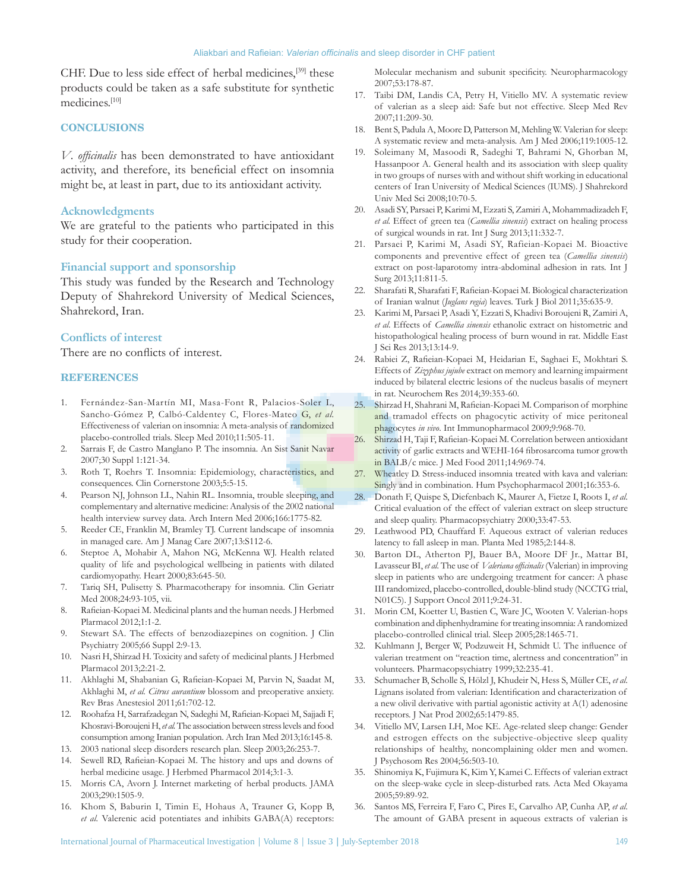CHF. Due to less side effect of herbal medicines,[39] these products could be taken as a safe substitute for synthetic medicines.[10]

#### **CONCLUSIONS**

*V*. *officinalis* has been demonstrated to have antioxidant activity, and therefore, its beneficial effect on insomnia might be, at least in part, due to its antioxidant activity.

## **Acknowledgments**

We are grateful to the patients who participated in this study for their cooperation.

## **Financial support and sponsorship**

This study was funded by the Research and Technology Deputy of Shahrekord University of Medical Sciences, Shahrekord, Iran.

#### **Conflicts of interest**

There are no conflicts of interest.

#### **REFERENCES**

- 1. Fernández-San-Martín MI, Masa-Font R, Palacios-Soler L, Sancho-Gómez P, Calbó-Caldentey C, Flores-Mateo G, *et al.* Effectiveness of valerian on insomnia: A meta-analysis of randomized placebo-controlled trials. Sleep Med 2010;11:505-11.
- 2. Sarrais F, de Castro Manglano P. The insomnia. An Sist Sanit Navar 2007;30 Suppl 1:121-34.
- 3. Roth T, Roehrs T. Insomnia: Epidemiology, characteristics, and consequences. Clin Cornerstone 2003;5:5‑15.
- 4. Pearson NJ, Johnson LL, Nahin RL. Insomnia, trouble sleeping, and complementary and alternative medicine: Analysis of the 2002 national health interview survey data. Arch Intern Med 2006;166:1775-82.
- 5. Reeder CE, Franklin M, Bramley TJ. Current landscape of insomnia in managed care. Am J Manag Care 2007;13:S112-6.
- 6. Steptoe A, Mohabir A, Mahon NG, McKenna WJ. Health related quality of life and psychological wellbeing in patients with dilated cardiomyopathy. Heart 2000;83:645-50.
- 7. Tariq SH, Pulisetty S. Pharmacotherapy for insomnia. Clin Geriatr Med 2008;24:93-105, vii.
- Rafieian-Kopaei M. Medicinal plants and the human needs. J Herbmed Plarmacol 2012;1:1-2.
- 9. Stewart SA. The effects of benzodiazepines on cognition. J Clin Psychiatry 2005;66 Suppl 2:9-13.
- 10. Nasri H, Shirzad H. Toxicity and safety of medicinal plants. J Herbmed Plarmacol 2013;2:21-2.
- 11. Akhlaghi M, Shabanian G, Rafieian‑Kopaei M, Parvin N, Saadat M, Akhlaghi M, *et al. Citrus aurantium* blossom and preoperative anxiety. Rev Bras Anestesiol 2011;61:702-12.
- 12. Roohafza H, Sarrafzadegan N, Sadeghi M, Rafieian‑Kopaei M, Sajjadi F, Khosravi-BoroujeniH, *et al.* The association between stress levels and food consumption among Iranian population. Arch Iran Med 2013;16:145-8.
- 13. 2003 national sleep disorders research plan. Sleep 2003;26:253-7.
- 14. Sewell RD, Rafieian‑Kopaei M. The history and ups and downs of herbal medicine usage. J Herbmed Pharmacol 2014;3:1-3.
- 15. Morris CA, Avorn J. Internet marketing of herbal products. JAMA 2003;290:1505-9.
- 16. Khom S, Baburin I, Timin E, Hohaus A, Trauner G, Kopp B, *et al.* Valerenic acid potentiates and inhibits GABA(A) receptors:

Molecular mechanism and subunit specificity. Neuropharmacology 2007;53:178-87.

- 17. Taibi DM, Landis CA, Petry H, Vitiello MV. A systematic review of valerian as a sleep aid: Safe but not effective. Sleep Med Rev 2007;11:209-30.
- 18. Bent S, Padula A, Moore D, Patterson M, Mehling W. Valerian for sleep: A systematic review and meta-analysis. Am J Med 2006;119:1005-12.
- 19. Soleimany M, Masoodi R, Sadeghi T, Bahrami N, Ghorban M, Hassanpoor A. General health and its association with sleep quality in two groups of nurses with and without shift working in educational centers of Iran University of Medical Sciences (IUMS). J Shahrekord Univ Med Sci 2008;10:70-5.
- 20. Asadi SY, Parsaei P, Karimi M, Ezzati S, Zamiri A, Mohammadizadeh F, *et al.* Effect of green tea (*Camellia sinensis*) extract on healing process of surgical wounds in rat. Int J Surg 2013;11:332-7.
- 21. Parsaei P, Karimi M, Asadi SY, Rafieian-Kopaei M. Bioactive components and preventive effect of green tea (*Camellia sinensis*) extract on post-laparotomy intra-abdominal adhesion in rats. Int J Surg 2013;11:811-5.
- 22. Sharafati R, Sharafati F, Rafieian‑Kopaei M. Biological characterization of Iranian walnut (*Juglans regia*) leaves. Turk J Biol 2011;35:635-9.
- 23. Karimi M, Parsaei P, Asadi Y, Ezzati S, Khadivi Boroujeni R, Zamiri A, *et al*. Effects of *Camellia sinensis* ethanolic extract on histometric and histopathological healing process of burn wound in rat. Middle East J Sci Res 2013;13:14-9.
- 24. Rabiei Z, Rafieian‑Kopaei M, Heidarian E, Saghaei E, Mokhtari S. Effects of *Zizyphus jujube* extract on memory and learning impairment induced by bilateral electric lesions of the nucleus basalis of meynert in rat. Neurochem Res 2014;39:353-60.
- 25. Shirzad H, Shahrani M, Rafieian‑Kopaei M. Comparison of morphine and tramadol effects on phagocytic activity of mice peritoneal phagocytes *in vivo*. Int Immunopharmacol 2009;9:968-70.
- 26. Shirzad H, Taji F, Rafieian‑Kopaei M. Correlation between antioxidant activity of garlic extracts and WEHI-164 fibrosarcoma tumor growth in BALB/c mice. J Med Food 2011;14:969-74.
- 27. Wheatley D. Stress-induced insomnia treated with kava and valerian: Singly and in combination. Hum Psychopharmacol 2001;16:353-6.
- 28. Donath F, Quispe S, Diefenbach K, Maurer A, Fietze I, Roots I, *et al.* Critical evaluation of the effect of valerian extract on sleep structure and sleep quality. Pharmacopsychiatry 2000;33:47‑53.
- 29. Leathwood PD, Chauffard F. Aqueous extract of valerian reduces latency to fall asleep in man. Planta Med 1985;2:144-8.
- 30. Barton DL, Atherton PJ, Bauer BA, Moore DF Jr., Mattar BI, Lavasseur BI, *et al.* The use of *Valeriana officinalis* (Valerian) in improving sleep in patients who are undergoing treatment for cancer: A phase III randomized, placebo-controlled, double-blind study (NCCTG trial, N01C5). J Support Oncol 2011;9:24-31.
- 31. Morin CM, Koetter U, Bastien C, Ware JC, Wooten V. Valerian-hops combination and diphenhydramine for treating insomnia: Arandomized placebo-controlled clinical trial. Sleep 2005;28:1465-71.
- 32. Kuhlmann J, Berger W, Podzuweit H, Schmidt U. The influence of valerian treatment on "reaction time, alertness and concentration" in volunteers. Pharmacopsychiatry 1999;32:235-41.
- 33. Schumacher B, Scholle S, Hölzl J, Khudeir N, Hess S, Müller CE, *et al.* Lignans isolated from valerian: Identification and characterization of a new olivil derivative with partial agonistic activity at A(1) adenosine receptors. J Nat Prod 2002;65:1479-85.
- 34. Vitiello MV, Larsen LH, Moe KE. Age-related sleep change: Gender and estrogen effects on the subjective-objective sleep quality relationships of healthy, noncomplaining older men and women. J Psychosom Res 2004;56:503-10.
- 35. Shinomiya K, Fujimura K, Kim Y, Kamei C. Effects of valerian extract on the sleep-wake cycle in sleep-disturbed rats. Acta Med Okayama 2005;59:89-92.
- 36. Santos MS, Ferreira F, Faro C, Pires E, Carvalho AP, Cunha AP, *et al.* The amount of GABA present in aqueous extracts of valerian is